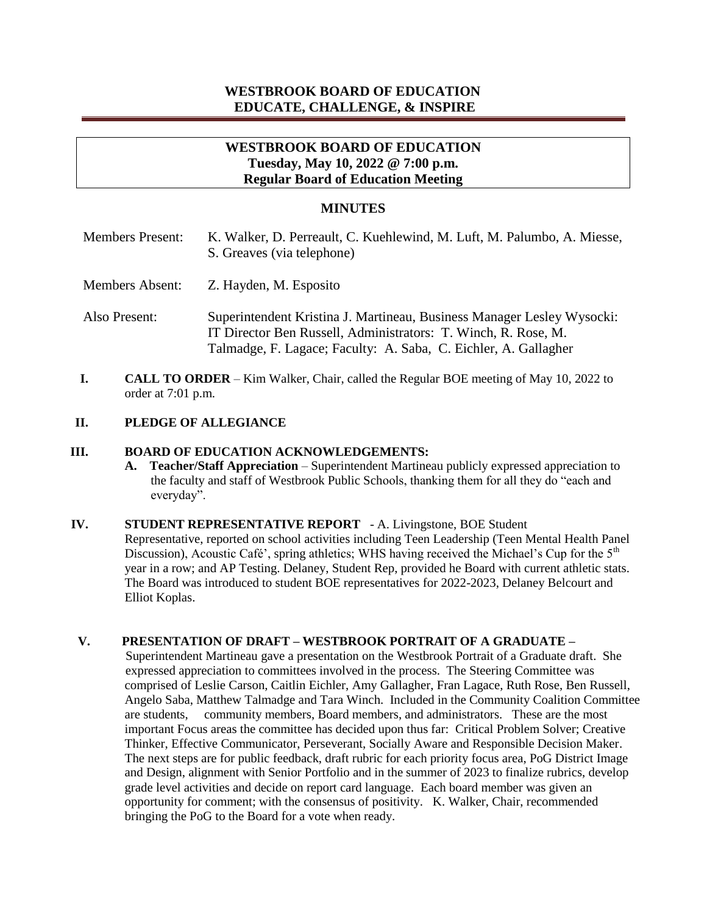# **WESTBROOK BOARD OF EDUCATION EDUCATE, CHALLENGE, & INSPIRE**

# **WESTBROOK BOARD OF EDUCATION Tuesday, May 10, 2022 @ 7:00 p.m. Regular Board of Education Meeting**

#### **MINUTES**

| <b>Members Present:</b> | K. Walker, D. Perreault, C. Kuehlewind, M. Luft, M. Palumbo, A. Miesse,<br>S. Greaves (via telephone)                                                                                                       |
|-------------------------|-------------------------------------------------------------------------------------------------------------------------------------------------------------------------------------------------------------|
| <b>Members Absent:</b>  | Z. Hayden, M. Esposito                                                                                                                                                                                      |
| Also Present:           | Superintendent Kristina J. Martineau, Business Manager Lesley Wysocki:<br>IT Director Ben Russell, Administrators: T. Winch, R. Rose, M.<br>Talmadge, F. Lagace; Faculty: A. Saba, C. Eichler, A. Gallagher |

**I. CALL TO ORDER** – Kim Walker, Chair, called the Regular BOE meeting of May 10, 2022 to order at 7:01 p.m.

### **II. PLEDGE OF ALLEGIANCE**

#### **III. BOARD OF EDUCATION ACKNOWLEDGEMENTS:**

- **A. Teacher/Staff Appreciation**  Superintendent Martineau publicly expressed appreciation to the faculty and staff of Westbrook Public Schools, thanking them for all they do "each and everyday".
- **IV. STUDENT REPRESENTATIVE REPORT**  A. Livingstone, BOE Student Representative, reported on school activities including Teen Leadership (Teen Mental Health Panel Discussion), Acoustic Café', spring athletics; WHS having received the Michael's Cup for the  $5<sup>th</sup>$ year in a row; and AP Testing. Delaney, Student Rep, provided he Board with current athletic stats. The Board was introduced to student BOE representatives for 2022-2023, Delaney Belcourt and Elliot Koplas.

## **V. PRESENTATION OF DRAFT – WESTBROOK PORTRAIT OF A GRADUATE –**

 Superintendent Martineau gave a presentation on the Westbrook Portrait of a Graduate draft. She expressed appreciation to committees involved in the process. The Steering Committee was comprised of Leslie Carson, Caitlin Eichler, Amy Gallagher, Fran Lagace, Ruth Rose, Ben Russell, Angelo Saba, Matthew Talmadge and Tara Winch. Included in the Community Coalition Committee are students, community members, Board members, and administrators. These are the most important Focus areas the committee has decided upon thus far: Critical Problem Solver; Creative Thinker, Effective Communicator, Perseverant, Socially Aware and Responsible Decision Maker. The next steps are for public feedback, draft rubric for each priority focus area, PoG District Image and Design, alignment with Senior Portfolio and in the summer of 2023 to finalize rubrics, develop grade level activities and decide on report card language. Each board member was given an opportunity for comment; with the consensus of positivity. K. Walker, Chair, recommended bringing the PoG to the Board for a vote when ready.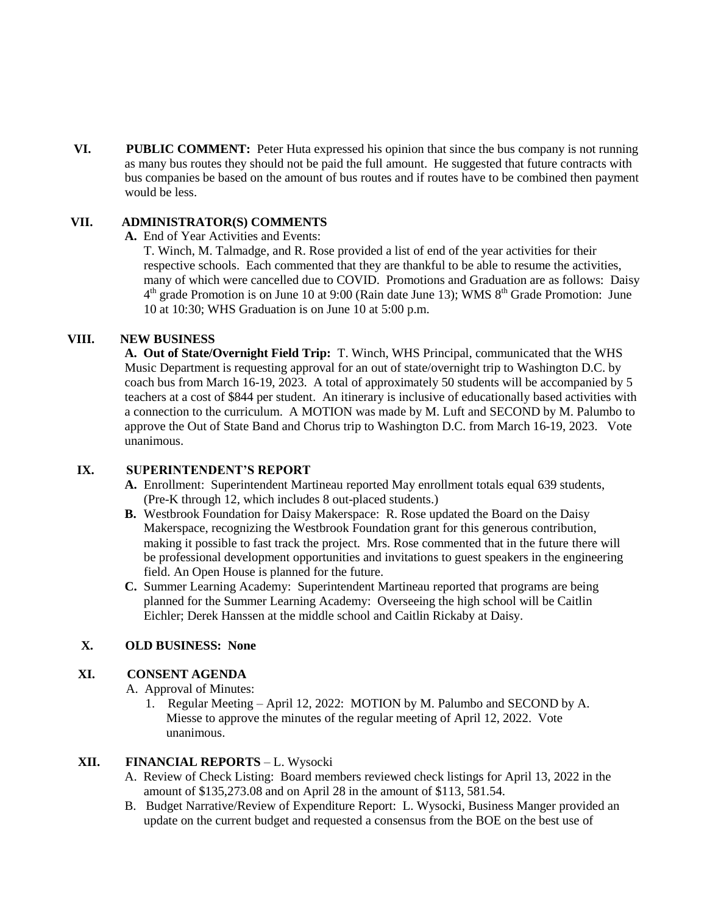**VI. PUBLIC COMMENT:** Peter Huta expressed his opinion that since the bus company is not running as many bus routes they should not be paid the full amount. He suggested that future contracts with bus companies be based on the amount of bus routes and if routes have to be combined then payment would be less.

### **VII. ADMINISTRATOR(S) COMMENTS**

**A.** End of Year Activities and Events:

 T. Winch, M. Talmadge, and R. Rose provided a list of end of the year activities for their respective schools. Each commented that they are thankful to be able to resume the activities, many of which were cancelled due to COVID. Promotions and Graduation are as follows: Daisy 4  $4<sup>th</sup>$  grade Promotion is on June 10 at 9:00 (Rain date June 13); WMS  $8<sup>th</sup>$  Grade Promotion: June 10 at 10:30; WHS Graduation is on June 10 at 5:00 p.m.

#### **VIII. NEW BUSINESS**

**A. Out of State/Overnight Field Trip:** T. Winch, WHS Principal, communicated that the WHS Music Department is requesting approval for an out of state/overnight trip to Washington D.C. by coach bus from March 16-19, 2023. A total of approximately 50 students will be accompanied by 5 teachers at a cost of \$844 per student. An itinerary is inclusive of educationally based activities with a connection to the curriculum. A MOTION was made by M. Luft and SECOND by M. Palumbo to approve the Out of State Band and Chorus trip to Washington D.C. from March 16-19, 2023. Vote unanimous.

## **IX. SUPERINTENDENT'S REPORT**

- **A.** Enrollment: Superintendent Martineau reported May enrollment totals equal 639 students, (Pre-K through 12, which includes 8 out-placed students.)
- **B.** Westbrook Foundation for Daisy Makerspace: R. Rose updated the Board on the Daisy Makerspace, recognizing the Westbrook Foundation grant for this generous contribution, making it possible to fast track the project. Mrs. Rose commented that in the future there will be professional development opportunities and invitations to guest speakers in the engineering field. An Open House is planned for the future.
- **C.** Summer Learning Academy: Superintendent Martineau reported that programs are being planned for the Summer Learning Academy: Overseeing the high school will be Caitlin Eichler; Derek Hanssen at the middle school and Caitlin Rickaby at Daisy.

## **X. OLD BUSINESS: None**

#### **XI. CONSENT AGENDA**

A. Approval of Minutes:

1. Regular Meeting – April 12, 2022: MOTION by M. Palumbo and SECOND by A. Miesse to approve the minutes of the regular meeting of April 12, 2022. Vote unanimous.

### **XII. FINANCIAL REPORTS** – L. Wysocki

- A. Review of Check Listing: Board members reviewed check listings for April 13, 2022 in the amount of \$135,273.08 and on April 28 in the amount of \$113, 581.54.
- B. Budget Narrative/Review of Expenditure Report: L. Wysocki, Business Manger provided an update on the current budget and requested a consensus from the BOE on the best use of